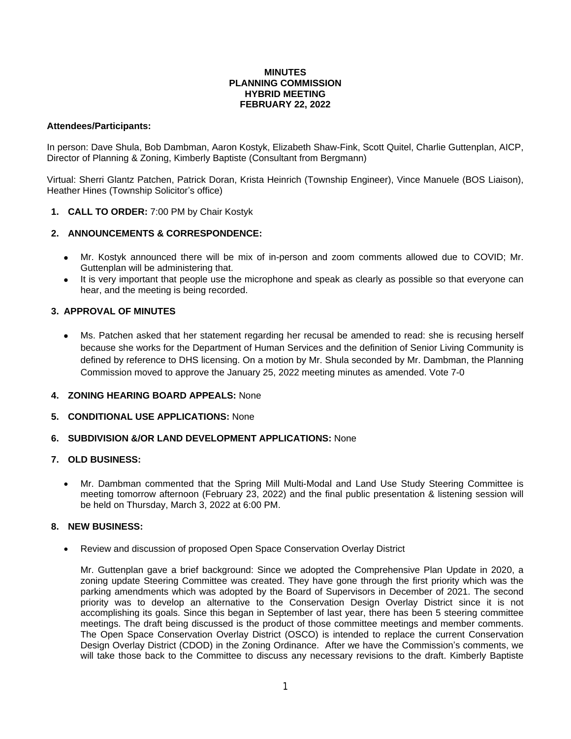### **MINUTES PLANNING COMMISSION HYBRID MEETING FEBRUARY 22, 2022**

### **Attendees/Participants:**

In person: Dave Shula, Bob Dambman, Aaron Kostyk, Elizabeth Shaw-Fink, Scott Quitel, Charlie Guttenplan, AICP, Director of Planning & Zoning, Kimberly Baptiste (Consultant from Bergmann)

Virtual: Sherri Glantz Patchen, Patrick Doran, Krista Heinrich (Township Engineer), Vince Manuele (BOS Liaison), Heather Hines (Township Solicitor's office)

# **1. CALL TO ORDER:** 7:00 PM by Chair Kostyk

# **2. ANNOUNCEMENTS & CORRESPONDENCE:**

- Mr. Kostyk announced there will be mix of in-person and zoom comments allowed due to COVID; Mr. Guttenplan will be administering that.
- It is very important that people use the microphone and speak as clearly as possible so that everyone can hear, and the meeting is being recorded.

# **3. APPROVAL OF MINUTES**

- Ms. Patchen asked that her statement regarding her recusal be amended to read: she is recusing herself because she works for the Department of Human Services and the definition of Senior Living Community is defined by reference to DHS licensing. On a motion by Mr. Shula seconded by Mr. Dambman, the Planning Commission moved to approve the January 25, 2022 meeting minutes as amended. Vote 7-0
- **4. ZONING HEARING BOARD APPEALS:** None
- **5. CONDITIONAL USE APPLICATIONS:** None
- **6. SUBDIVISION &/OR LAND DEVELOPMENT APPLICATIONS:** None

### **7. OLD BUSINESS:**

 Mr. Dambman commented that the Spring Mill Multi-Modal and Land Use Study Steering Committee is meeting tomorrow afternoon (February 23, 2022) and the final public presentation & listening session will be held on Thursday, March 3, 2022 at 6:00 PM.

### **8. NEW BUSINESS:**

Review and discussion of proposed Open Space Conservation Overlay District

Mr. Guttenplan gave a brief background: Since we adopted the Comprehensive Plan Update in 2020, a zoning update Steering Committee was created. They have gone through the first priority which was the parking amendments which was adopted by the Board of Supervisors in December of 2021. The second priority was to develop an alternative to the Conservation Design Overlay District since it is not accomplishing its goals. Since this began in September of last year, there has been 5 steering committee meetings. The draft being discussed is the product of those committee meetings and member comments. The Open Space Conservation Overlay District (OSCO) is intended to replace the current Conservation Design Overlay District (CDOD) in the Zoning Ordinance. After we have the Commission's comments, we will take those back to the Committee to discuss any necessary revisions to the draft. Kimberly Baptiste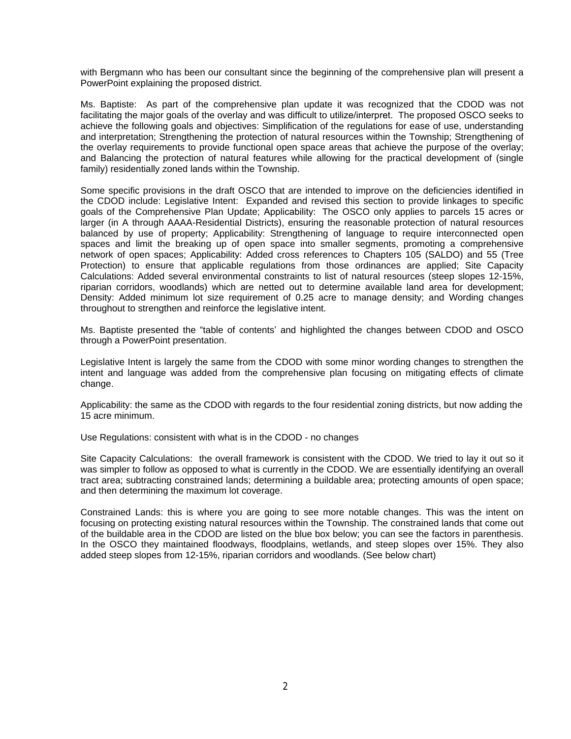with Bergmann who has been our consultant since the beginning of the comprehensive plan will present a PowerPoint explaining the proposed district.

Ms. Baptiste: As part of the comprehensive plan update it was recognized that the CDOD was not facilitating the major goals of the overlay and was difficult to utilize/interpret. The proposed OSCO seeks to achieve the following goals and objectives: Simplification of the regulations for ease of use, understanding and interpretation; Strengthening the protection of natural resources within the Township; Strengthening of the overlay requirements to provide functional open space areas that achieve the purpose of the overlay; and Balancing the protection of natural features while allowing for the practical development of (single family) residentially zoned lands within the Township.

Some specific provisions in the draft OSCO that are intended to improve on the deficiencies identified in the CDOD include: Legislative Intent: Expanded and revised this section to provide linkages to specific goals of the Comprehensive Plan Update; Applicability: The OSCO only applies to parcels 15 acres or larger (in A through AAAA-Residential Districts), ensuring the reasonable protection of natural resources balanced by use of property; Applicability: Strengthening of language to require interconnected open spaces and limit the breaking up of open space into smaller segments, promoting a comprehensive network of open spaces; Applicability: Added cross references to Chapters 105 (SALDO) and 55 (Tree Protection) to ensure that applicable regulations from those ordinances are applied; Site Capacity Calculations: Added several environmental constraints to list of natural resources (steep slopes 12-15%, riparian corridors, woodlands) which are netted out to determine available land area for development; Density: Added minimum lot size requirement of 0.25 acre to manage density; and Wording changes throughout to strengthen and reinforce the legislative intent.

Ms. Baptiste presented the "table of contents' and highlighted the changes between CDOD and OSCO through a PowerPoint presentation.

Legislative Intent is largely the same from the CDOD with some minor wording changes to strengthen the intent and language was added from the comprehensive plan focusing on mitigating effects of climate change.

Applicability: the same as the CDOD with regards to the four residential zoning districts, but now adding the 15 acre minimum.

Use Regulations: consistent with what is in the CDOD - no changes

Site Capacity Calculations: the overall framework is consistent with the CDOD. We tried to lay it out so it was simpler to follow as opposed to what is currently in the CDOD. We are essentially identifying an overall tract area; subtracting constrained lands; determining a buildable area; protecting amounts of open space; and then determining the maximum lot coverage.

Constrained Lands: this is where you are going to see more notable changes. This was the intent on focusing on protecting existing natural resources within the Township. The constrained lands that come out of the buildable area in the CDOD are listed on the blue box below; you can see the factors in parenthesis. In the OSCO they maintained floodways, floodplains, wetlands, and steep slopes over 15%. They also added steep slopes from 12-15%, riparian corridors and woodlands. (See below chart)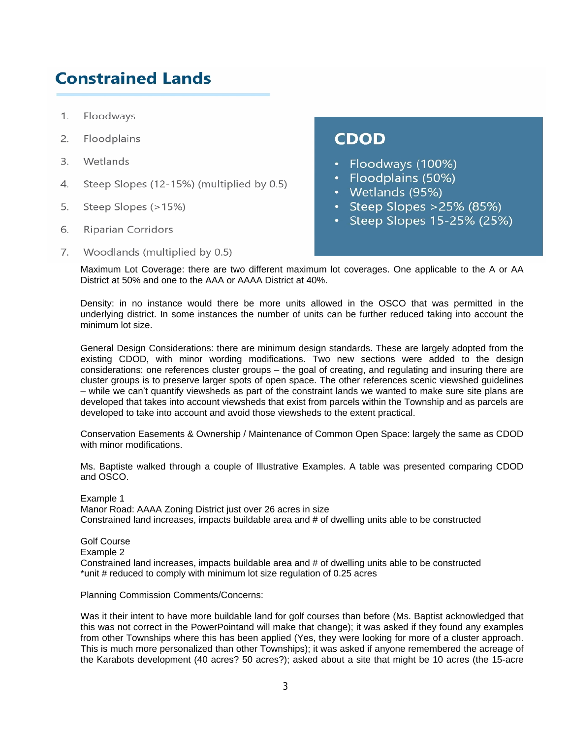# **Constrained Lands**

- 1. Floodways
- $2.$ Floodplains
- $\overline{3}$ Wetlands
- 4. Steep Slopes (12-15%) (multiplied by 0.5)
- 5. Steep Slopes (>15%)
- 6. **Riparian Corridors**
- 7. Woodlands (multiplied by 0.5)

# **CDOD**

- Floodways (100%)
- Floodplains (50%)
- Wetlands (95%)
- Steep Slopes  $>25\%$  (85%)
- Steep Slopes 15-25% (25%)

Maximum Lot Coverage: there are two different maximum lot coverages. One applicable to the A or AA District at 50% and one to the AAA or AAAA District at 40%.

Density: in no instance would there be more units allowed in the OSCO that was permitted in the underlying district. In some instances the number of units can be further reduced taking into account the minimum lot size.

General Design Considerations: there are minimum design standards. These are largely adopted from the existing CDOD, with minor wording modifications. Two new sections were added to the design considerations: one references cluster groups – the goal of creating, and regulating and insuring there are cluster groups is to preserve larger spots of open space. The other references scenic viewshed guidelines – while we can't quantify viewsheds as part of the constraint lands we wanted to make sure site plans are developed that takes into account viewsheds that exist from parcels within the Township and as parcels are developed to take into account and avoid those viewsheds to the extent practical.

Conservation Easements & Ownership / Maintenance of Common Open Space: largely the same as CDOD with minor modifications.

Ms. Baptiste walked through a couple of Illustrative Examples. A table was presented comparing CDOD and OSCO.

Example 1 Manor Road: AAAA Zoning District just over 26 acres in size Constrained land increases, impacts buildable area and # of dwelling units able to be constructed

Golf Course Example 2 Constrained land increases, impacts buildable area and # of dwelling units able to be constructed \*unit # reduced to comply with minimum lot size regulation of 0.25 acres

Planning Commission Comments/Concerns:

Was it their intent to have more buildable land for golf courses than before (Ms. Baptist acknowledged that this was not correct in the PowerPointand will make that change); it was asked if they found any examples from other Townships where this has been applied (Yes, they were looking for more of a cluster approach. This is much more personalized than other Townships); it was asked if anyone remembered the acreage of the Karabots development (40 acres? 50 acres?); asked about a site that might be 10 acres (the 15-acre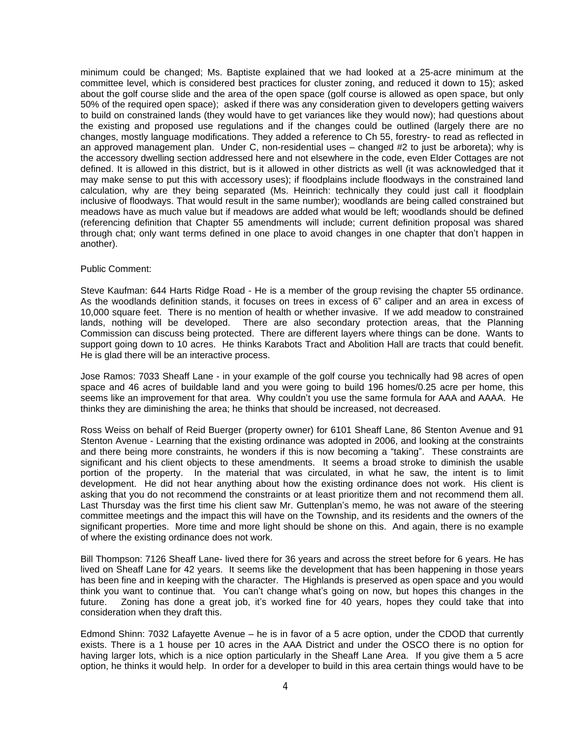minimum could be changed; Ms. Baptiste explained that we had looked at a 25-acre minimum at the committee level, which is considered best practices for cluster zoning, and reduced it down to 15); asked about the golf course slide and the area of the open space (golf course is allowed as open space, but only 50% of the required open space); asked if there was any consideration given to developers getting waivers to build on constrained lands (they would have to get variances like they would now); had questions about the existing and proposed use regulations and if the changes could be outlined (largely there are no changes, mostly language modifications. They added a reference to Ch 55, forestry- to read as reflected in an approved management plan. Under C, non-residential uses – changed #2 to just be arboreta); why is the accessory dwelling section addressed here and not elsewhere in the code, even Elder Cottages are not defined. It is allowed in this district, but is it allowed in other districts as well (it was acknowledged that it may make sense to put this with accessory uses); if floodplains include floodways in the constrained land calculation, why are they being separated (Ms. Heinrich: technically they could just call it floodplain inclusive of floodways. That would result in the same number); woodlands are being called constrained but meadows have as much value but if meadows are added what would be left; woodlands should be defined (referencing definition that Chapter 55 amendments will include; current definition proposal was shared through chat; only want terms defined in one place to avoid changes in one chapter that don't happen in another).

#### Public Comment:

Steve Kaufman: 644 Harts Ridge Road - He is a member of the group revising the chapter 55 ordinance. As the woodlands definition stands, it focuses on trees in excess of 6" caliper and an area in excess of 10,000 square feet. There is no mention of health or whether invasive. If we add meadow to constrained lands, nothing will be developed. There are also secondary protection areas, that the Planning Commission can discuss being protected. There are different layers where things can be done. Wants to support going down to 10 acres. He thinks Karabots Tract and Abolition Hall are tracts that could benefit. He is glad there will be an interactive process.

Jose Ramos: 7033 Sheaff Lane - in your example of the golf course you technically had 98 acres of open space and 46 acres of buildable land and you were going to build 196 homes/0.25 acre per home, this seems like an improvement for that area. Why couldn't you use the same formula for AAA and AAAA. He thinks they are diminishing the area; he thinks that should be increased, not decreased.

Ross Weiss on behalf of Reid Buerger (property owner) for 6101 Sheaff Lane, 86 Stenton Avenue and 91 Stenton Avenue - Learning that the existing ordinance was adopted in 2006, and looking at the constraints and there being more constraints, he wonders if this is now becoming a "taking". These constraints are significant and his client objects to these amendments. It seems a broad stroke to diminish the usable portion of the property. In the material that was circulated, in what he saw, the intent is to limit development. He did not hear anything about how the existing ordinance does not work. His client is asking that you do not recommend the constraints or at least prioritize them and not recommend them all. Last Thursday was the first time his client saw Mr. Guttenplan's memo, he was not aware of the steering committee meetings and the impact this will have on the Township, and its residents and the owners of the significant properties. More time and more light should be shone on this. And again, there is no example of where the existing ordinance does not work.

Bill Thompson: 7126 Sheaff Lane- lived there for 36 years and across the street before for 6 years. He has lived on Sheaff Lane for 42 years. It seems like the development that has been happening in those years has been fine and in keeping with the character. The Highlands is preserved as open space and you would think you want to continue that. You can't change what's going on now, but hopes this changes in the future. Zoning has done a great job, it's worked fine for 40 years, hopes they could take that into consideration when they draft this.

Edmond Shinn: 7032 Lafayette Avenue – he is in favor of a 5 acre option, under the CDOD that currently exists. There is a 1 house per 10 acres in the AAA District and under the OSCO there is no option for having larger lots, which is a nice option particularly in the Sheaff Lane Area. If you give them a 5 acre option, he thinks it would help. In order for a developer to build in this area certain things would have to be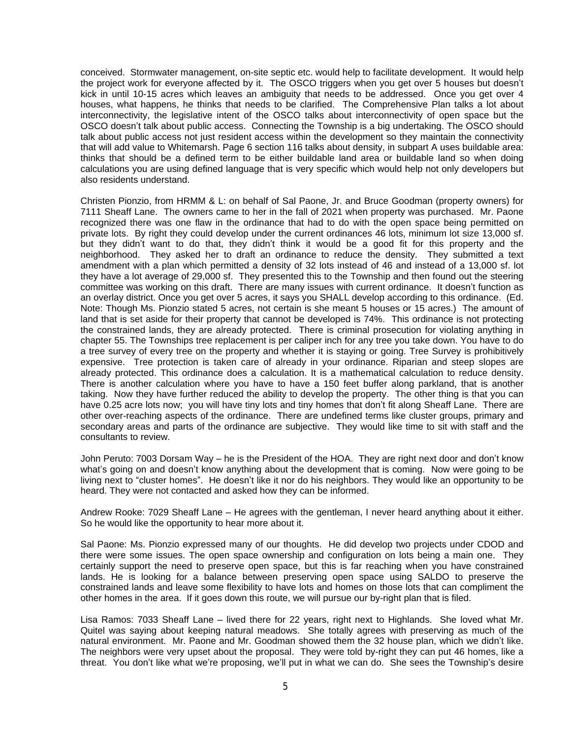conceived. Stormwater management, on-site septic etc. would help to facilitate development. It would help the project work for everyone affected by it. The OSCO triggers when you get over 5 houses but doesn't kick in until 10-15 acres which leaves an ambiguity that needs to be addressed. Once you get over 4 houses, what happens, he thinks that needs to be clarified. The Comprehensive Plan talks a lot about interconnectivity, the legislative intent of the OSCO talks about interconnectivity of open space but the OSCO doesn't talk about public access. Connecting the Township is a big undertaking. The OSCO should talk about public access not just resident access within the development so they maintain the connectivity that will add value to Whitemarsh. Page 6 section 116 talks about density, in subpart A uses buildable area: thinks that should be a defined term to be either buildable land area or buildable land so when doing calculations you are using defined language that is very specific which would help not only developers but also residents understand.

Christen Pionzio, from HRMM & L: on behalf of Sal Paone, Jr. and Bruce Goodman (property owners) for 7111 Sheaff Lane. The owners came to her in the fall of 2021 when property was purchased. Mr. Paone recognized there was one flaw in the ordinance that had to do with the open space being permitted on private lots. By right they could develop under the current ordinances 46 lots, minimum lot size 13,000 sf. but they didn't want to do that, they didn't think it would be a good fit for this property and the neighborhood. They asked her to draft an ordinance to reduce the density. They submitted a text amendment with a plan which permitted a density of 32 lots instead of 46 and instead of a 13,000 sf. lot they have a lot average of 29,000 sf. They presented this to the Township and then found out the steering committee was working on this draft. There are many issues with current ordinance. It doesn't function as an overlay district. Once you get over 5 acres, it says you SHALL develop according to this ordinance. (Ed. Note: Though Ms. Pionzio stated 5 acres, not certain is she meant 5 houses or 15 acres.) The amount of land that is set aside for their property that cannot be developed is 74%. This ordinance is not protecting the constrained lands, they are already protected. There is criminal prosecution for violating anything in chapter 55. The Townships tree replacement is per caliper inch for any tree you take down. You have to do a tree survey of every tree on the property and whether it is staying or going. Tree Survey is prohibitively expensive. Tree protection is taken care of already in your ordinance. Riparian and steep slopes are already protected. This ordinance does a calculation. It is a mathematical calculation to reduce density. There is another calculation where you have to have a 150 feet buffer along parkland, that is another taking. Now they have further reduced the ability to develop the property. The other thing is that you can have 0.25 acre lots now; you will have tiny lots and tiny homes that don't fit along Sheaff Lane. There are other over-reaching aspects of the ordinance. There are undefined terms like cluster groups, primary and secondary areas and parts of the ordinance are subjective. They would like time to sit with staff and the consultants to review.

John Peruto: 7003 Dorsam Way – he is the President of the HOA. They are right next door and don't know what's going on and doesn't know anything about the development that is coming. Now were going to be living next to "cluster homes". He doesn't like it nor do his neighbors. They would like an opportunity to be heard. They were not contacted and asked how they can be informed.

Andrew Rooke: 7029 Sheaff Lane – He agrees with the gentleman, I never heard anything about it either. So he would like the opportunity to hear more about it.

Sal Paone: Ms. Pionzio expressed many of our thoughts. He did develop two projects under CDOD and there were some issues. The open space ownership and configuration on lots being a main one. They certainly support the need to preserve open space, but this is far reaching when you have constrained lands. He is looking for a balance between preserving open space using SALDO to preserve the constrained lands and leave some flexibility to have lots and homes on those lots that can compliment the other homes in the area. If it goes down this route, we will pursue our by-right plan that is filed.

Lisa Ramos: 7033 Sheaff Lane – lived there for 22 years, right next to Highlands. She loved what Mr. Quitel was saying about keeping natural meadows. She totally agrees with preserving as much of the natural environment. Mr. Paone and Mr. Goodman showed them the 32 house plan, which we didn't like. The neighbors were very upset about the proposal. They were told by-right they can put 46 homes, like a threat. You don't like what we're proposing, we'll put in what we can do. She sees the Township's desire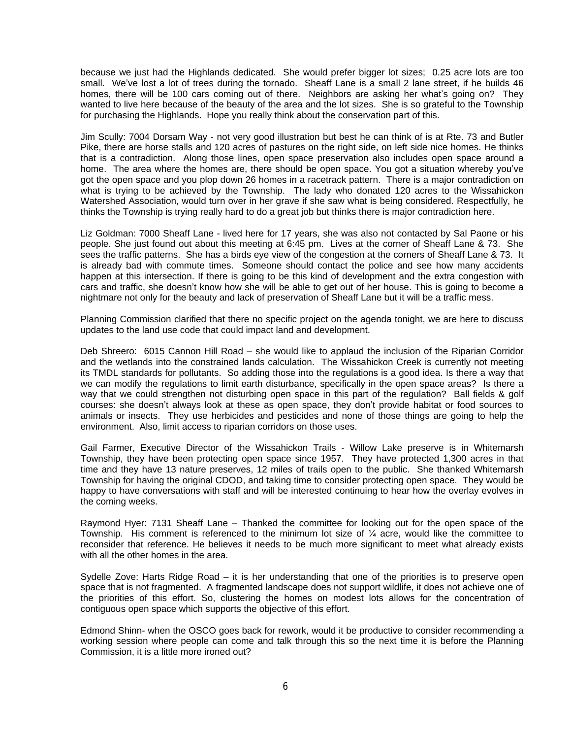because we just had the Highlands dedicated. She would prefer bigger lot sizes; 0.25 acre lots are too small. We've lost a lot of trees during the tornado. Sheaff Lane is a small 2 lane street, if he builds 46 homes, there will be 100 cars coming out of there. Neighbors are asking her what's going on? They wanted to live here because of the beauty of the area and the lot sizes. She is so grateful to the Township for purchasing the Highlands. Hope you really think about the conservation part of this.

Jim Scully: 7004 Dorsam Way - not very good illustration but best he can think of is at Rte. 73 and Butler Pike, there are horse stalls and 120 acres of pastures on the right side, on left side nice homes. He thinks that is a contradiction. Along those lines, open space preservation also includes open space around a home. The area where the homes are, there should be open space. You got a situation whereby you've got the open space and you plop down 26 homes in a racetrack pattern. There is a major contradiction on what is trying to be achieved by the Township. The lady who donated 120 acres to the Wissahickon Watershed Association, would turn over in her grave if she saw what is being considered. Respectfully, he thinks the Township is trying really hard to do a great job but thinks there is major contradiction here.

Liz Goldman: 7000 Sheaff Lane - lived here for 17 years, she was also not contacted by Sal Paone or his people. She just found out about this meeting at 6:45 pm. Lives at the corner of Sheaff Lane & 73. She sees the traffic patterns. She has a birds eye view of the congestion at the corners of Sheaff Lane & 73. It is already bad with commute times. Someone should contact the police and see how many accidents happen at this intersection. If there is going to be this kind of development and the extra congestion with cars and traffic, she doesn't know how she will be able to get out of her house. This is going to become a nightmare not only for the beauty and lack of preservation of Sheaff Lane but it will be a traffic mess.

Planning Commission clarified that there no specific project on the agenda tonight, we are here to discuss updates to the land use code that could impact land and development.

Deb Shreero: 6015 Cannon Hill Road – she would like to applaud the inclusion of the Riparian Corridor and the wetlands into the constrained lands calculation. The Wissahickon Creek is currently not meeting its TMDL standards for pollutants. So adding those into the regulations is a good idea. Is there a way that we can modify the regulations to limit earth disturbance, specifically in the open space areas? Is there a way that we could strengthen not disturbing open space in this part of the regulation? Ball fields & golf courses: she doesn't always look at these as open space, they don't provide habitat or food sources to animals or insects. They use herbicides and pesticides and none of those things are going to help the environment. Also, limit access to riparian corridors on those uses.

Gail Farmer, Executive Director of the Wissahickon Trails - Willow Lake preserve is in Whitemarsh Township, they have been protecting open space since 1957. They have protected 1,300 acres in that time and they have 13 nature preserves, 12 miles of trails open to the public. She thanked Whitemarsh Township for having the original CDOD, and taking time to consider protecting open space. They would be happy to have conversations with staff and will be interested continuing to hear how the overlay evolves in the coming weeks.

Raymond Hyer: 7131 Sheaff Lane – Thanked the committee for looking out for the open space of the Township. His comment is referenced to the minimum lot size of ¼ acre, would like the committee to reconsider that reference. He believes it needs to be much more significant to meet what already exists with all the other homes in the area.

Sydelle Zove: Harts Ridge Road – it is her understanding that one of the priorities is to preserve open space that is not fragmented. A fragmented landscape does not support wildlife, it does not achieve one of the priorities of this effort. So, clustering the homes on modest lots allows for the concentration of contiguous open space which supports the objective of this effort.

Edmond Shinn- when the OSCO goes back for rework, would it be productive to consider recommending a working session where people can come and talk through this so the next time it is before the Planning Commission, it is a little more ironed out?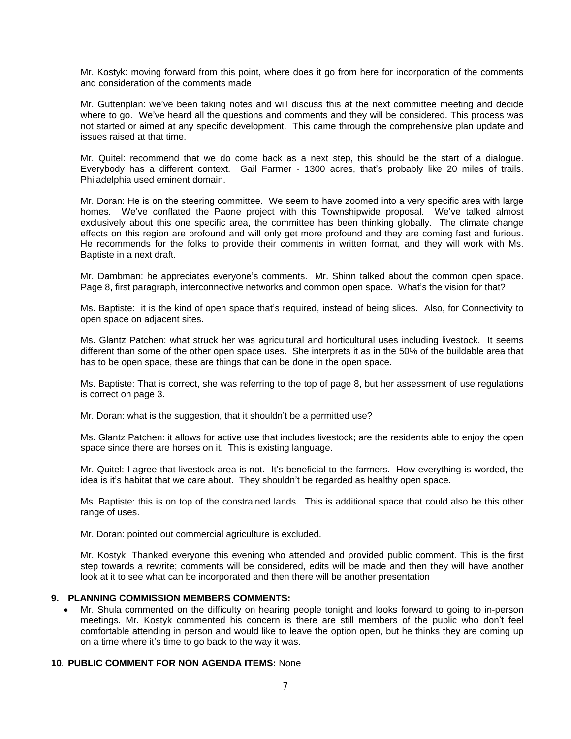Mr. Kostyk: moving forward from this point, where does it go from here for incorporation of the comments and consideration of the comments made

Mr. Guttenplan: we've been taking notes and will discuss this at the next committee meeting and decide where to go. We've heard all the questions and comments and they will be considered. This process was not started or aimed at any specific development. This came through the comprehensive plan update and issues raised at that time.

Mr. Quitel: recommend that we do come back as a next step, this should be the start of a dialogue. Everybody has a different context. Gail Farmer - 1300 acres, that's probably like 20 miles of trails. Philadelphia used eminent domain.

Mr. Doran: He is on the steering committee. We seem to have zoomed into a very specific area with large homes. We've conflated the Paone project with this Townshipwide proposal. We've talked almost exclusively about this one specific area, the committee has been thinking globally. The climate change effects on this region are profound and will only get more profound and they are coming fast and furious. He recommends for the folks to provide their comments in written format, and they will work with Ms. Baptiste in a next draft.

Mr. Dambman: he appreciates everyone's comments. Mr. Shinn talked about the common open space. Page 8, first paragraph, interconnective networks and common open space. What's the vision for that?

Ms. Baptiste: it is the kind of open space that's required, instead of being slices. Also, for Connectivity to open space on adjacent sites.

Ms. Glantz Patchen: what struck her was agricultural and horticultural uses including livestock. It seems different than some of the other open space uses. She interprets it as in the 50% of the buildable area that has to be open space, these are things that can be done in the open space.

Ms. Baptiste: That is correct, she was referring to the top of page 8, but her assessment of use regulations is correct on page 3.

Mr. Doran: what is the suggestion, that it shouldn't be a permitted use?

Ms. Glantz Patchen: it allows for active use that includes livestock; are the residents able to enjoy the open space since there are horses on it. This is existing language.

Mr. Quitel: I agree that livestock area is not. It's beneficial to the farmers. How everything is worded, the idea is it's habitat that we care about. They shouldn't be regarded as healthy open space.

Ms. Baptiste: this is on top of the constrained lands. This is additional space that could also be this other range of uses.

Mr. Doran: pointed out commercial agriculture is excluded.

Mr. Kostyk: Thanked everyone this evening who attended and provided public comment. This is the first step towards a rewrite; comments will be considered, edits will be made and then they will have another look at it to see what can be incorporated and then there will be another presentation

### **9. PLANNING COMMISSION MEMBERS COMMENTS:**

 Mr. Shula commented on the difficulty on hearing people tonight and looks forward to going to in-person meetings. Mr. Kostyk commented his concern is there are still members of the public who don't feel comfortable attending in person and would like to leave the option open, but he thinks they are coming up on a time where it's time to go back to the way it was.

# **10. PUBLIC COMMENT FOR NON AGENDA ITEMS:** None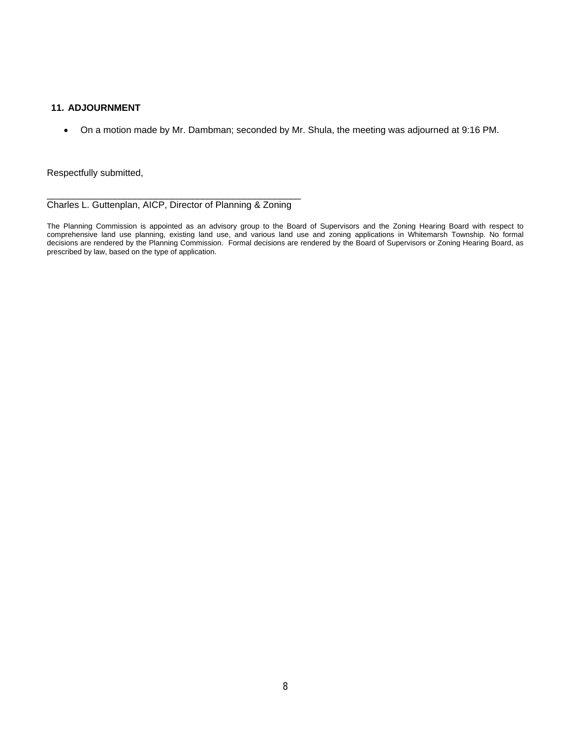# **11. ADJOURNMENT**

On a motion made by Mr. Dambman; seconded by Mr. Shula, the meeting was adjourned at 9:16 PM.

Respectfully submitted,

\_\_\_\_\_\_\_\_\_\_\_\_\_\_\_\_\_\_\_\_\_\_\_\_\_\_\_\_\_\_\_\_\_\_\_\_\_\_\_\_\_\_\_\_\_\_\_\_\_ Charles L. Guttenplan, AICP, Director of Planning & Zoning

The Planning Commission is appointed as an advisory group to the Board of Supervisors and the Zoning Hearing Board with respect to comprehensive land use planning, existing land use, and various land use and zoning applications in Whitemarsh Township. No formal decisions are rendered by the Planning Commission. Formal decisions are rendered by the Board of Supervisors or Zoning Hearing Board, as prescribed by law, based on the type of application.